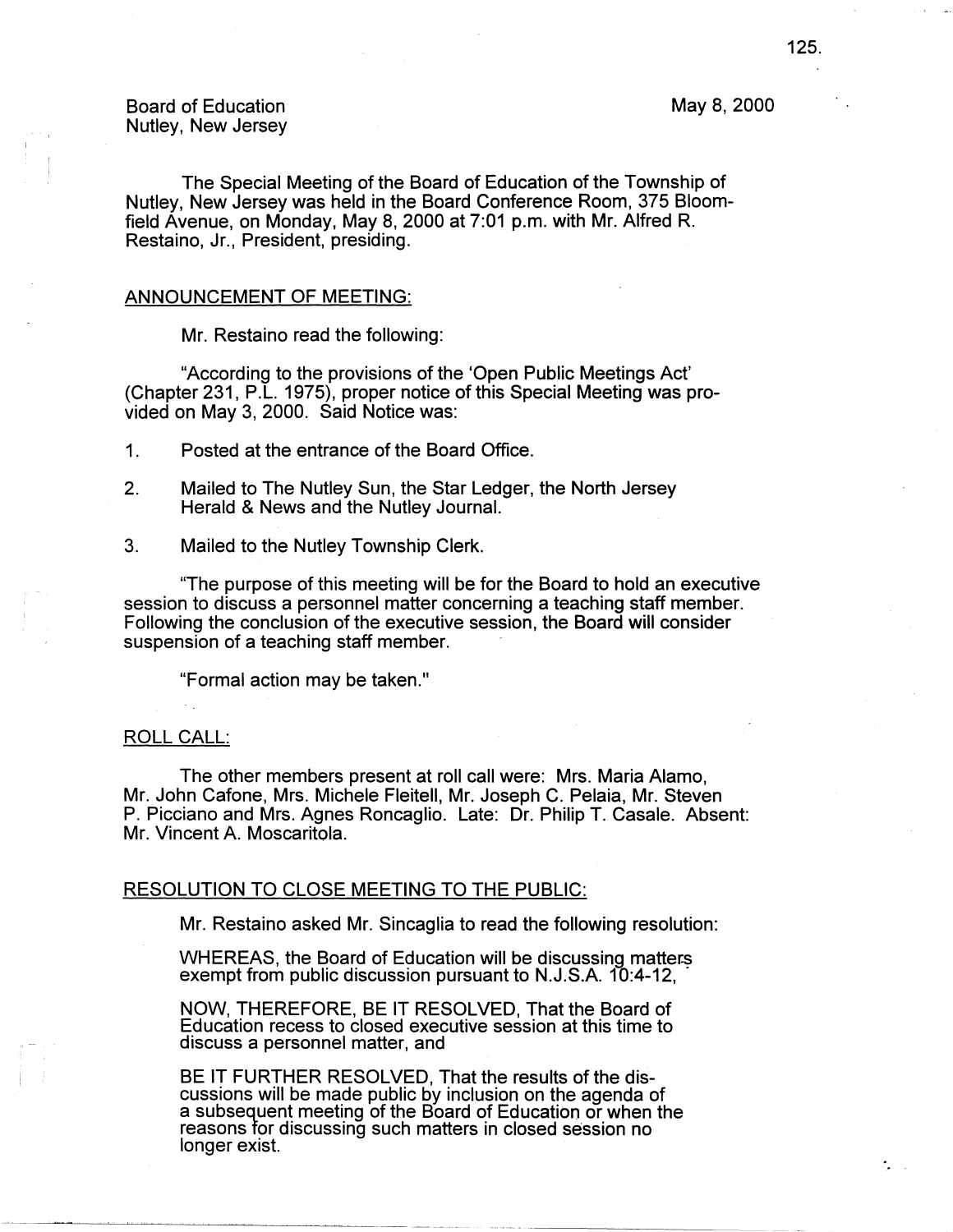# May 8, 2000

# Board of Education Nutley, New Jersey

The Special Meeting of the Board of Education of the Township of Nutley, New Jersey was held in the Board Conference Room, 375 Bloomfield Avenue, on Monday, May 8, 2000 at 7:01 p.m. with Mr. Alfred R. Restaino, Jr., President, presiding.

#### ANNOUNCEMENT OF MEETING:

Mr. Restaino read the following:

"According to the provisions of the 'Open Public Meetings Act' (Chapter 231, P.L. 1975), proper notice of this Special Meeting was provided on May 3, 2000. Said Notice was:

1. Posted at the entrance of the Board Office.

- 2. Mailed to The Nutley Sun, the Star Ledger, the North Jersey Herald & News and the Nutley Journal.
- 3. Mailed to the Nutley Township Clerk.

"The purpose of this meeting will be for the Board to hold an executive session to discuss a personnel matter concerning a teaching staff member. Following the conclusion of the executive session, the Board will consider suspension of a teaching staff member.

"Formal action may be taken."

## ROLL CALL:

The other members present at roll call were: Mrs. Maria Alamo, Mr. John Catone, Mrs. Michele Fleitell, Mr. Joseph C. Pelaia, Mr. Steven P. Picciano and Mrs. Agnes Roncaglio. Late: Dr. Philip T. Casale. Absent: Mr. Vincent A. Moscaritola.

### RESOLUTION TO CLOSE MEETING TO THE PUBLIC:

Mr. Restaino asked Mr. Sincaglia to read the following resolution:

WHEREAS, the Board of Education will be discussing matters exempt from public discussion pursuant to N.J.S.A. 10:4-12,

NOW, THEREFORE, BE IT RESOLVED, That the Board of Education recess to closed executive session at this time to discuss a personnel matter, and

BE IT FURTHER RESOLVED, That the results of the discussions will be made public by inclusion on the agenda of a subsequent meeting of the Board of Education or when the reasons for discussing such matters in closed session no longer exist.